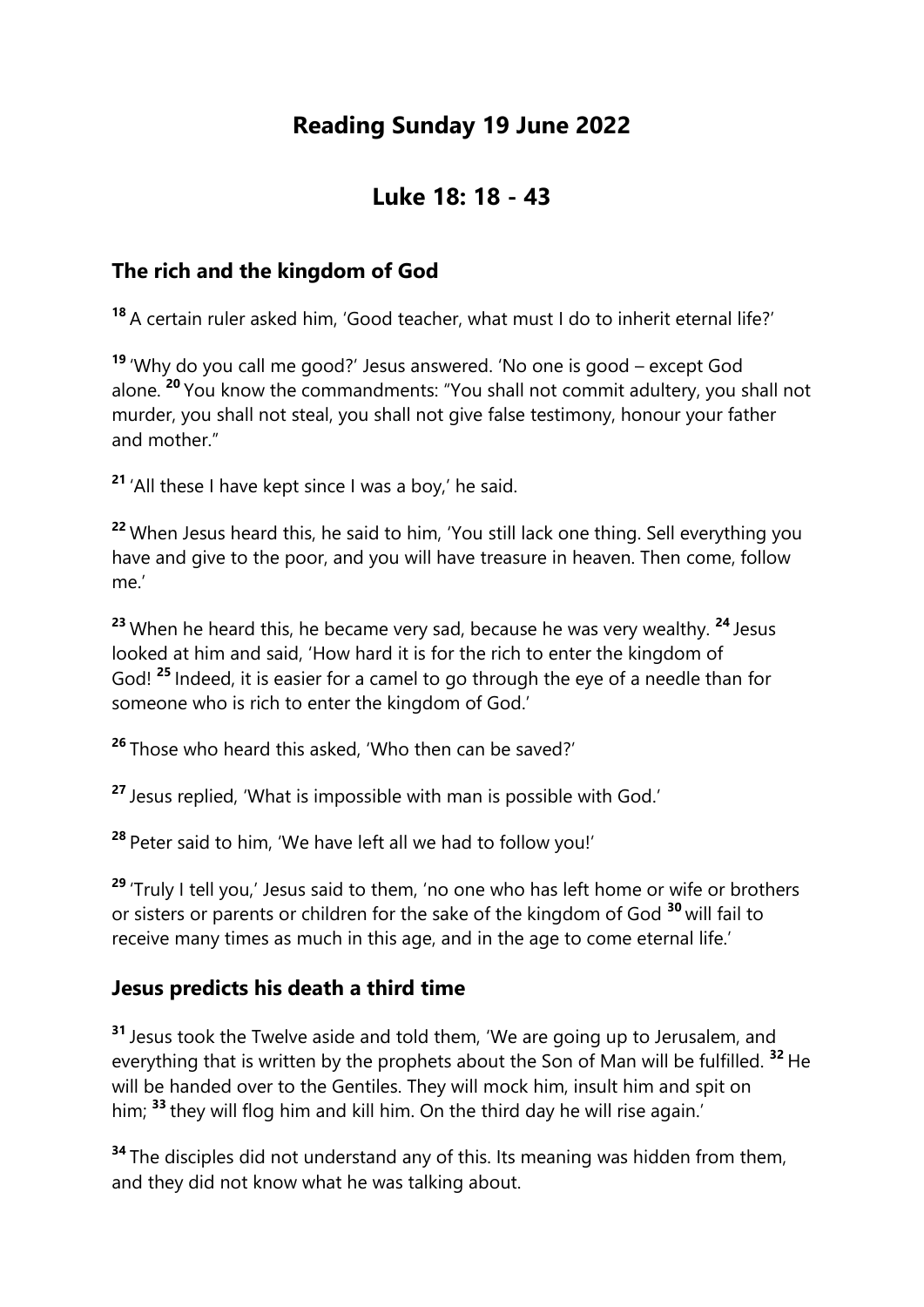# **Reading Sunday 19 June 2022**

## **Luke 18: 18 - 43**

### **The rich and the kingdom of God**

**<sup>18</sup>** A certain ruler asked him, 'Good teacher, what must I do to inherit eternal life?'

**<sup>19</sup>** 'Why do you call me good?' Jesus answered. 'No one is good – except God alone. **<sup>20</sup>** You know the commandments: "You shall not commit adultery, you shall not murder, you shall not steal, you shall not give false testimony, honour your father and mother."

**<sup>21</sup>** 'All these I have kept since I was a boy,' he said.

**<sup>22</sup>** When Jesus heard this, he said to him, 'You still lack one thing. Sell everything you have and give to the poor, and you will have treasure in heaven. Then come, follow me.'

**<sup>23</sup>** When he heard this, he became very sad, because he was very wealthy. **<sup>24</sup>** Jesus looked at him and said, 'How hard it is for the rich to enter the kingdom of God! **<sup>25</sup>** Indeed, it is easier for a camel to go through the eye of a needle than for someone who is rich to enter the kingdom of God.'

**<sup>26</sup>** Those who heard this asked, 'Who then can be saved?'

**<sup>27</sup>** Jesus replied, 'What is impossible with man is possible with God.'

**<sup>28</sup>** Peter said to him, 'We have left all we had to follow you!'

**<sup>29</sup>** 'Truly I tell you,' Jesus said to them, 'no one who has left home or wife or brothers or sisters or parents or children for the sake of the kingdom of God **<sup>30</sup>** will fail to receive many times as much in this age, and in the age to come eternal life.'

#### **Jesus predicts his death a third time**

**<sup>31</sup>** Jesus took the Twelve aside and told them, 'We are going up to Jerusalem, and everything that is written by the prophets about the Son of Man will be fulfilled. **<sup>32</sup>** He will be handed over to the Gentiles. They will mock him, insult him and spit on him; **<sup>33</sup>** they will flog him and kill him. On the third day he will rise again.'

**<sup>34</sup>** The disciples did not understand any of this. Its meaning was hidden from them, and they did not know what he was talking about.